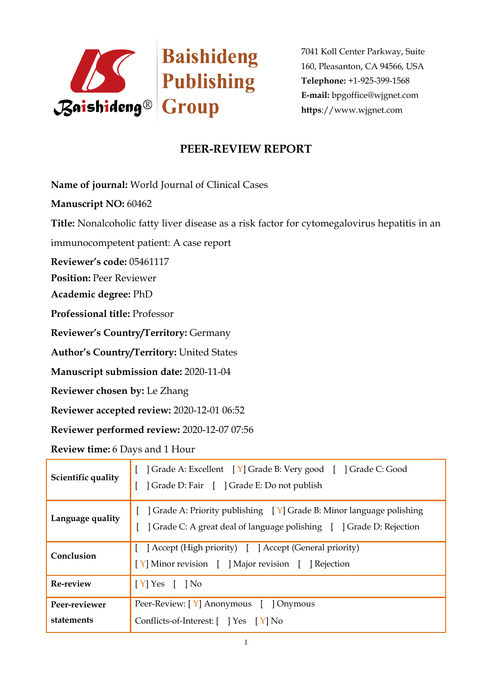

7041 Koll Center Parkway, Suite 160, Pleasanton, CA 94566, USA **Telephone:** +1-925-399-1568 **E-mail:** bpgoffice@wjgnet.com **https**://www.wjgnet.com

## **PEER-REVIEW REPORT**

**Name of journal:** World Journal of Clinical Cases

**Manuscript NO:** 60462

**Title:** Nonalcoholic fatty liver disease as a risk factor for cytomegalovirus hepatitis in an

immunocompetent patient: A case report

**Reviewer's code:** 05461117

**Position:** Peer Reviewer

**Academic degree:** PhD

**Professional title:** Professor

**Reviewer's Country/Territory:** Germany

**Author's Country/Territory:** United States

**Manuscript submission date:** 2020-11-04

**Reviewer chosen by:** Le Zhang

**Reviewer accepted review:** 2020-12-01 06:52

**Reviewer performed review:** 2020-12-07 07:56

**Review time:** 6 Days and 1 Hour

| Scientific quality          | Grade A: Excellent [Y] Grade B: Very good [ ] Grade C: Good<br>  Grade D: Fair   Grade E: Do not publish                                                  |
|-----------------------------|-----------------------------------------------------------------------------------------------------------------------------------------------------------|
| Language quality            | [ $\vert$ Grade A: Priority publishing $\vert$ Y] Grade B: Minor language polishing<br>Crade C: A great deal of language polishing [ ] Grade D: Rejection |
| Conclusion                  | [ ] Accept (High priority) [ ] Accept (General priority)<br>[Y] Minor revision [ ] Major revision [ ] Rejection                                           |
| Re-review                   | $[Y]$ Yes $[$ $]$ No                                                                                                                                      |
| Peer-reviewer<br>statements | Peer-Review: [Y] Anonymous [ ] Onymous<br>Conflicts-of-Interest: [ ] Yes [Y] No                                                                           |